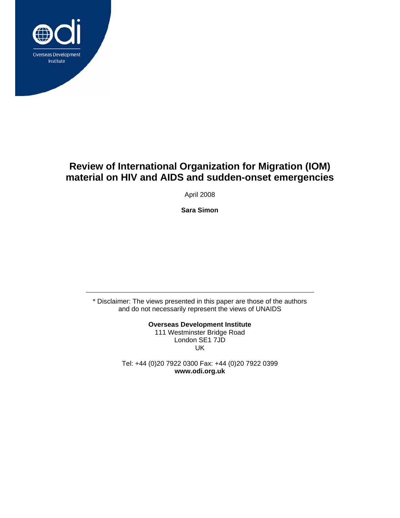

## **Review of International Organization for Migration (IOM) material on HIV and AIDS and sudden-onset emergencies**

April 2008

**Sara Simon** 

\* Disclaimer: The views presented in this paper are those of the authors and do not necessarily represent the views of UNAIDS

> **Overseas Development Institute**  111 Westminster Bridge Road London SE1 7JD UK

Tel: +44 (0)20 7922 0300 Fax: +44 (0)20 7922 0399 **www.odi.org.uk**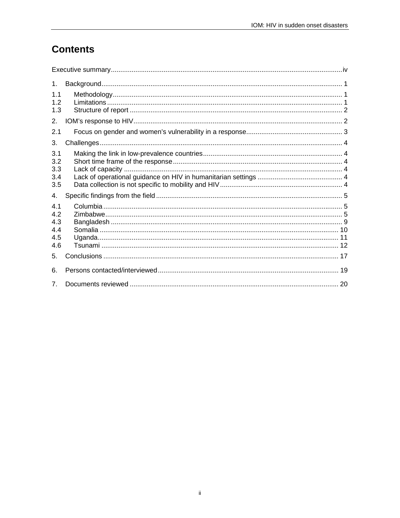# **Contents**

| 1.                              |  |
|---------------------------------|--|
| 1.1<br>12<br>1.3                |  |
| 2.                              |  |
| 2.1                             |  |
| 3.                              |  |
| 3.1<br>3.2<br>3.3<br>3.4<br>3.5 |  |
| 4.                              |  |
| 4.1<br>4.2<br>4.3               |  |
| 4.4<br>4.5<br>4.6               |  |
| 5.                              |  |
| 6                               |  |
| 7 <sub>1</sub>                  |  |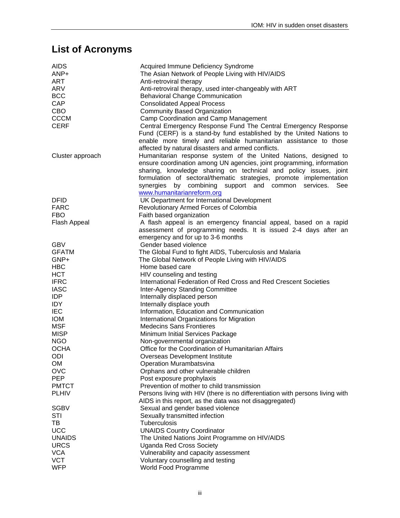# **List of Acronyms**

| <b>AIDS</b>      | Acquired Immune Deficiency Syndrome                                           |  |  |  |  |
|------------------|-------------------------------------------------------------------------------|--|--|--|--|
| ANP+             | The Asian Network of People Living with HIV/AIDS                              |  |  |  |  |
| <b>ART</b>       | Anti-retroviral therapy                                                       |  |  |  |  |
| <b>ARV</b>       | Anti-retroviral therapy, used inter-changeably with ART                       |  |  |  |  |
| <b>BCC</b>       | <b>Behavioral Change Communication</b>                                        |  |  |  |  |
| CAP              | <b>Consolidated Appeal Process</b>                                            |  |  |  |  |
| CBO              | <b>Community Based Organization</b>                                           |  |  |  |  |
| <b>CCCM</b>      | Camp Coordination and Camp Management                                         |  |  |  |  |
| <b>CERF</b>      | Central Emergency Response Fund The Central Emergency Response                |  |  |  |  |
|                  | Fund (CERF) is a stand-by fund established by the United Nations to           |  |  |  |  |
|                  | enable more timely and reliable humanitarian assistance to those              |  |  |  |  |
|                  | affected by natural disasters and armed conflicts.                            |  |  |  |  |
| Cluster approach | Humanitarian response system of the United Nations, designed to               |  |  |  |  |
|                  | ensure coordination among UN agencies, joint programming, information         |  |  |  |  |
|                  | sharing, knowledge sharing on technical and policy issues, joint              |  |  |  |  |
|                  | formulation of sectoral/thematic strategies, promote implementation           |  |  |  |  |
|                  | synergies by combining<br>support and common services.<br>See                 |  |  |  |  |
|                  | www.humanitarianreform.org                                                    |  |  |  |  |
| <b>DFID</b>      | UK Department for International Development                                   |  |  |  |  |
| <b>FARC</b>      |                                                                               |  |  |  |  |
|                  | Revolutionary Armed Forces of Colombia                                        |  |  |  |  |
| <b>FBO</b>       | Faith based organization                                                      |  |  |  |  |
| Flash Appeal     | A flash appeal is an emergency financial appeal, based on a rapid             |  |  |  |  |
|                  | assessment of programming needs. It is issued 2-4 days after an               |  |  |  |  |
|                  | emergency and for up to 3-6 months                                            |  |  |  |  |
| <b>GBV</b>       | Gender based violence                                                         |  |  |  |  |
| <b>GFATM</b>     | The Global Fund to fight AIDS, Tuberculosis and Malaria                       |  |  |  |  |
| GNP+             | The Global Network of People Living with HIV/AIDS                             |  |  |  |  |
| <b>HBC</b>       | Home based care                                                               |  |  |  |  |
| <b>HCT</b>       | HIV counseling and testing                                                    |  |  |  |  |
| <b>IFRC</b>      | International Federation of Red Cross and Red Crescent Societies              |  |  |  |  |
| <b>IASC</b>      | <b>Inter-Agency Standing Committee</b>                                        |  |  |  |  |
| <b>IDP</b>       | Internally displaced person                                                   |  |  |  |  |
| IDY              | Internally displace youth                                                     |  |  |  |  |
| <b>IEC</b>       | Information, Education and Communication                                      |  |  |  |  |
| <b>IOM</b>       | International Organizations for Migration                                     |  |  |  |  |
| <b>MSF</b>       | <b>Medecins Sans Frontieres</b>                                               |  |  |  |  |
| <b>MISP</b>      | Minimum Initial Services Package                                              |  |  |  |  |
| <b>NGO</b>       | Non-governmental organization                                                 |  |  |  |  |
| <b>OCHA</b>      | Office for the Coordination of Humanitarian Affairs                           |  |  |  |  |
| ODI              | Overseas Development Institute                                                |  |  |  |  |
| OM               | Operation Murambatsvina                                                       |  |  |  |  |
| <b>OVC</b>       | Orphans and other vulnerable children                                         |  |  |  |  |
| <b>PEP</b>       | Post exposure prophylaxis                                                     |  |  |  |  |
| <b>PMTCT</b>     | Prevention of mother to child transmission                                    |  |  |  |  |
| <b>PLHIV</b>     | Persons living with HIV (there is no differentiation with persons living with |  |  |  |  |
|                  | AIDS in this report, as the data was not disaggregated)                       |  |  |  |  |
| <b>SGBV</b>      | Sexual and gender based violence                                              |  |  |  |  |
| STI              | Sexually transmitted infection                                                |  |  |  |  |
| ТB               | Tuberculosis                                                                  |  |  |  |  |
| <b>UCC</b>       | <b>UNAIDS Country Coordinator</b>                                             |  |  |  |  |
| <b>UNAIDS</b>    | The United Nations Joint Programme on HIV/AIDS                                |  |  |  |  |
| <b>URCS</b>      | <b>Uganda Red Cross Society</b>                                               |  |  |  |  |
| <b>VCA</b>       | Vulnerability and capacity assessment                                         |  |  |  |  |
| <b>VCT</b>       | Voluntary counselling and testing                                             |  |  |  |  |
| <b>WFP</b>       | World Food Programme                                                          |  |  |  |  |
|                  |                                                                               |  |  |  |  |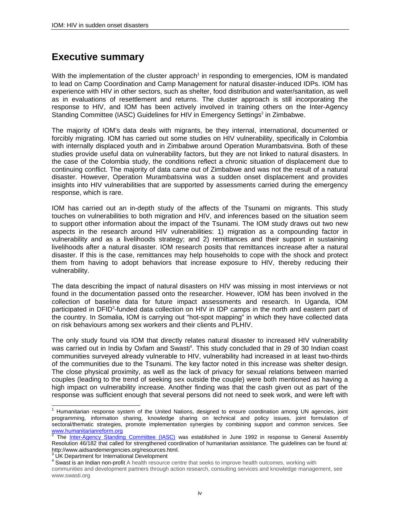## **Executive summary**

With the implementation of the cluster approach<sup>1</sup> in responding to emergencies, IOM is mandated to lead on Camp Coordination and Camp Management for natural disaster-induced IDPs. IOM has experience with HIV in other sectors, such as shelter, food distribution and water/sanitation, as well as in evaluations of resettlement and returns. The cluster approach is still incorporating the response to HIV, and IOM has been actively involved in training others on the Inter-Agency Standing Committee (IASC) Guidelines for HIV in Emergency Settings<sup>2</sup> in Zimbabwe.

The majority of IOM's data deals with migrants, be they internal, international, documented or forcibly migrating. IOM has carried out some studies on HIV vulnerability, specifically in Colombia with internally displaced youth and in Zimbabwe around Operation Murambatsvina. Both of these studies provide useful data on vulnerability factors, but they are not linked to natural disasters. In the case of the Colombia study, the conditions reflect a chronic situation of displacement due to continuing conflict. The majority of data came out of Zimbabwe and was not the result of a natural disaster. However, Operation Murambatsvina was a sudden onset displacement and provides insights into HIV vulnerabilities that are supported by assessments carried during the emergency response, which is rare.

IOM has carried out an in-depth study of the affects of the Tsunami on migrants. This study touches on vulnerabilities to both migration and HIV, and inferences based on the situation seem to support other information about the impact of the Tsunami. The IOM study draws out two new aspects in the research around HIV vulnerabilities: 1) migration as a compounding factor in vulnerability and as a livelihoods strategy; and 2) remittances and their support in sustaining livelihoods after a natural disaster. IOM research posits that remittances increase after a natural disaster. If this is the case, remittances may help households to cope with the shock and protect them from having to adopt behaviors that increase exposure to HIV, thereby reducing their vulnerability.

The data describing the impact of natural disasters on HIV was missing in most interviews or not found in the documentation passed onto the researcher. However, IOM has been involved in the collection of baseline data for future impact assessments and research. In Uganda, IOM participated in DFID<sup>3</sup>-funded data collection on HIV in IDP camps in the north and eastern part of the country. In Somalia, IOM is carrying out "hot-spot mapping" in which they have collected data on risk behaviours among sex workers and their clients and PLHIV.

The only study found via IOM that directly relates natural disaster to increased HIV vulnerability was carried out in India by Oxfam and Swasti<sup>4</sup>. This study concluded that in 29 of 30 Indian coast communities surveyed already vulnerable to HIV, vulnerability had increased in at least two-thirds of the communities due to the Tsunami. The key factor noted in this increase was shelter design. The close physical proximity, as well as the lack of privacy for sexual relations between married couples (leading to the trend of seeking sex outside the couple) were both mentioned as having a high impact on vulnerability increase. Another finding was that the cash given out as part of the response was sufficient enough that several persons did not need to seek work, and were left with

 1 Humanitarian response system of the United Nations, designed to ensure coordination among UN agencies, joint programming, information sharing, knowledge sharing on technical and policy issues, joint formulation of sectoral/thematic strategies, promote implementation synergies by combining support and common services. See www.humanitarianreform.org<br><sup>2</sup> The Jater Agency, Stendin

The Inter-Agency Standing Committee (IASC) was established in June 1992 in response to General Assembly Resolution 46/182 that called for strengthened coordination of humanitarian assistance. The guidelines can be found at: http://www.aidsandemergencies.org/resources.html.<br>3 LIK Department for International Development

UK Department for International Development

<sup>&</sup>lt;sup>4</sup> Swast is an Indian non-profit A health resource centre that seeks to improve health outcomes, working with

communities and development partners through action research, consulting services and knowledge management, see www.swasti.org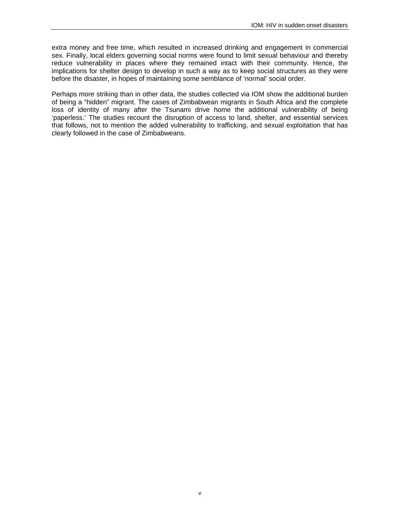extra money and free time, which resulted in increased drinking and engagement in commercial sex. Finally, local elders governing social norms were found to limit sexual behaviour and thereby reduce vulnerability in places where they remained intact with their community. Hence, the implications for shelter design to develop in such a way as to keep social structures as they were before the disaster, in hopes of maintaining some semblance of 'normal' social order.

Perhaps more striking than in other data, the studies collected via IOM show the additional burden of being a "hidden" migrant. The cases of Zimbabwean migrants in South Africa and the complete loss of identity of many after the Tsunami drive home the additional vulnerability of being 'paperless.' The studies recount the disruption of access to land, shelter, and essential services that follows, not to mention the added vulnerability to trafficking, and sexual exploitation that has clearly followed in the case of Zimbabweans.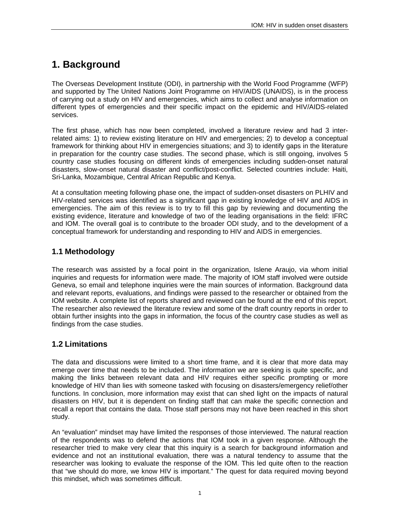## **1. Background**

The Overseas Development Institute (ODI), in partnership with the World Food Programme (WFP) and supported by The United Nations Joint Programme on HIV/AIDS (UNAIDS), is in the process of carrying out a study on HIV and emergencies, which aims to collect and analyse information on different types of emergencies and their specific impact on the epidemic and HIV/AIDS-related services.

The first phase, which has now been completed, involved a literature review and had 3 interrelated aims: 1) to review existing literature on HIV and emergencies; 2) to develop a conceptual framework for thinking about HIV in emergencies situations; and 3) to identify gaps in the literature in preparation for the country case studies. The second phase, which is still ongoing, involves 5 country case studies focusing on different kinds of emergencies including sudden-onset natural disasters, slow-onset natural disaster and conflict/post-conflict. Selected countries include: Haiti, Sri-Lanka, Mozambique, Central African Republic and Kenya.

At a consultation meeting following phase one, the impact of sudden-onset disasters on PLHIV and HIV-related services was identified as a significant gap in existing knowledge of HIV and AIDS in emergencies. The aim of this review is to try to fill this gap by reviewing and documenting the existing evidence, literature and knowledge of two of the leading organisations in the field: IFRC and IOM. The overall goal is to contribute to the broader ODI study, and to the development of a conceptual framework for understanding and responding to HIV and AIDS in emergencies.

### **1.1 Methodology**

The research was assisted by a focal point in the organization, Islene Araujo, via whom initial inquiries and requests for information were made. The majority of IOM staff involved were outside Geneva, so email and telephone inquiries were the main sources of information. Background data and relevant reports, evaluations, and findings were passed to the researcher or obtained from the IOM website. A complete list of reports shared and reviewed can be found at the end of this report. The researcher also reviewed the literature review and some of the draft country reports in order to obtain further insights into the gaps in information, the focus of the country case studies as well as findings from the case studies.

### **1.2 Limitations**

The data and discussions were limited to a short time frame, and it is clear that more data may emerge over time that needs to be included. The information we are seeking is quite specific, and making the links between relevant data and HIV requires either specific prompting or more knowledge of HIV than lies with someone tasked with focusing on disasters/emergency relief/other functions. In conclusion, more information may exist that can shed light on the impacts of natural disasters on HIV, but it is dependent on finding staff that can make the specific connection and recall a report that contains the data. Those staff persons may not have been reached in this short study.

An "evaluation" mindset may have limited the responses of those interviewed. The natural reaction of the respondents was to defend the actions that IOM took in a given response. Although the researcher tried to make very clear that this inquiry is a search for background information and evidence and not an institutional evaluation, there was a natural tendency to assume that the researcher was looking to evaluate the response of the IOM. This led quite often to the reaction that "we should do more, we know HIV is important." The quest for data required moving beyond this mindset, which was sometimes difficult.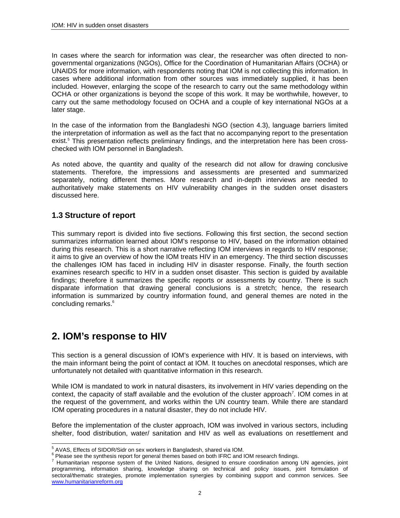In cases where the search for information was clear, the researcher was often directed to nongovernmental organizations (NGOs), Office for the Coordination of Humanitarian Affairs (OCHA) or UNAIDS for more information, with respondents noting that IOM is not collecting this information. In cases where additional information from other sources was immediately supplied, it has been included. However, enlarging the scope of the research to carry out the same methodology within OCHA or other organizations is beyond the scope of this work. It may be worthwhile, however, to carry out the same methodology focused on OCHA and a couple of key international NGOs at a later stage.

In the case of the information from the Bangladeshi NGO (section 4.3), language barriers limited the interpretation of information as well as the fact that no accompanying report to the presentation exist.<sup>5</sup> This presentation reflects preliminary findings, and the interpretation here has been crosschecked with IOM personnel in Bangladesh.

As noted above, the quantity and quality of the research did not allow for drawing conclusive statements. Therefore, the impressions and assessments are presented and summarized separately, noting different themes. More research and in-depth interviews are needed to authoritatively make statements on HIV vulnerability changes in the sudden onset disasters discussed here.

### **1.3 Structure of report**

This summary report is divided into five sections. Following this first section, the second section summarizes information learned about IOM's response to HIV, based on the information obtained during this research. This is a short narrative reflecting IOM interviews in regards to HIV response; it aims to give an overview of how the IOM treats HIV in an emergency. The third section discusses the challenges IOM has faced in including HIV in disaster response. Finally, the fourth section examines research specific to HIV in a sudden onset disaster. This section is guided by available findings; therefore it summarizes the specific reports or assessments by country. There is such disparate information that drawing general conclusions is a stretch; hence, the research information is summarized by country information found, and general themes are noted in the concluding remarks.<sup>6</sup>

## **2. IOM's response to HIV**

This section is a general discussion of IOM's experience with HIV. It is based on interviews, with the main informant being the point of contact at IOM. It touches on anecdotal responses, which are unfortunately not detailed with quantitative information in this research.

While IOM is mandated to work in natural disasters, its involvement in HIV varies depending on the context, the capacity of staff available and the evolution of the cluster approach<sup>7</sup>. IOM comes in at the request of the government, and works within the UN country team. While there are standard IOM operating procedures in a natural disaster, they do not include HIV.

Before the implementation of the cluster approach, IOM was involved in various sectors, including shelter, food distribution, water/ sanitation and HIV as well as evaluations on resettlement and

 5 AVAS, Effects of SIDOR/Sidr on sex workers in Bangladesh, shared via IOM.

<sup>&</sup>lt;sup>6</sup> Please see the synthesis report for general themes based on both IFRC and IOM research findings.

<sup>&</sup>lt;sup>7</sup> Humanitarian response system of the United Nations, designed to ensure coordination among UN agencies, joint programming, information sharing, knowledge sharing on technical and policy issues, joint formulation of sectoral/thematic strategies, promote implementation synergies by combining support and common services. See www.humanitarianreform.org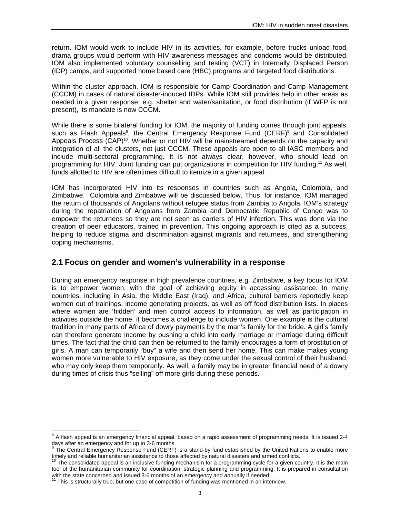return. IOM would work to include HIV in its activities, for example, before trucks unload food, drama groups would perform with HIV awareness messages and condoms would be distributed. IOM also implemented voluntary counselling and testing (VCT) in Internally Displaced Person (IDP) camps, and supported home based care (HBC) programs and targeted food distributions.

Within the cluster approach, IOM is responsible for Camp Coordination and Camp Management (CCCM) in cases of natural disaster-induced IDPs. While IOM still provides help in other areas as needed in a given response, e.g. shelter and water/sanitation, or food distribution (if WFP is not present), its mandate is now CCCM.

While there is some bilateral funding for IOM, the majority of funding comes through joint appeals, such as Flash Appeals<sup>8</sup>, the Central Emergency Response Fund (CERF)<sup>9</sup> and Consolidated Appeals Process  $(CAP)^{10}$ . Whether or not HIV will be mainstreamed depends on the capacity and integration of all the clusters, not just CCCM. These appeals are open to all IASC members and include multi-sectoral programming. It is not always clear, however, who should lead on programming for HIV. Joint funding can put organizations in competition for HIV funding.<sup>11</sup> As well, funds allotted to HIV are oftentimes difficult to itemize in a given appeal.

IOM has incorporated HIV into its responses in countries such as Angola, Colombia, and Zimbabwe. Colombia and Zimbabwe will be discussed below. Thus, for instance, IOM managed the return of thousands of Angolans without refugee status from Zambia to Angola. IOM's strategy during the repatriation of Angolans from Zambia and Democratic Republic of Congo was to empower the returnees so they are not seen as carriers of HIV infection. This was done via the creation of peer educators, trained in prevention. This ongoing approach is cited as a success, helping to reduce stigma and discrimination against migrants and returnees, and strengthening coping mechanisms.

### **2.1 Focus on gender and women's vulnerability in a response**

During an emergency response in high prevalence countries, e.g. Zimbabwe, a key focus for IOM is to empower women, with the goal of achieving equity in accessing assistance. In many countries, including in Asia, the Middle East (Iraq), and Africa, cultural barriers reportedly keep women out of trainings, income generating projects, as well as off food distribution lists. In places where women are 'hidden' and men control access to information, as well as participation in activities outside the home, it becomes a challenge to include women. One example is the cultural tradition in many parts of Africa of dowry payments by the man's family for the bride. A girl's family can therefore generate income by pushing a child into early marriage or marriage during difficult times. The fact that the child can then be returned to the family encourages a form of prostitution of girls. A man can temporarily "buy" a wife and then send her home. This can make makes young women more vulnerable to HIV exposure, as they come under the sexual control of their husband, who may only keep them temporarily. As well, a family may be in greater financial need of a dowry during times of crisis thus "selling" off more girls during these periods.

l

 $8$  A flash appeal is an emergency financial appeal, based on a rapid assessment of programming needs. It is issued 2-4 days after an emergency and for up to 3-6 months

<sup>9</sup> The Central Emergency Response Fund (CERF) is a stand-by fund established by the United Nations to enable more timely and reliable humanitarian assistance to those affected by natural disasters and armed conflicts.

The consolidated appeal is an inclusive funding mechanism for a programming cycle for a given country. It is the main tool of the humanitarian community for coordination, strategic planning and programming. It is prepared in consultation with the state concerned and issued 3-6 months of an emergency and annually if needed.

<sup>111</sup> This is structurally true, but one case of competition of funding was mentioned in an interview.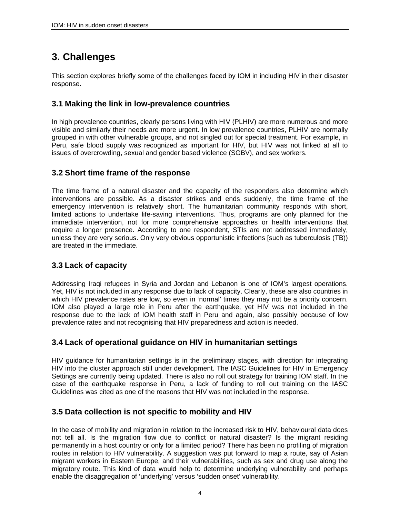# **3. Challenges**

This section explores briefly some of the challenges faced by IOM in including HIV in their disaster response.

### **3.1 Making the link in low-prevalence countries**

In high prevalence countries, clearly persons living with HIV (PLHIV) are more numerous and more visible and similarly their needs are more urgent. In low prevalence countries, PLHIV are normally grouped in with other vulnerable groups, and not singled out for special treatment. For example, in Peru, safe blood supply was recognized as important for HIV, but HIV was not linked at all to issues of overcrowding, sexual and gender based violence (SGBV), and sex workers.

### **3.2 Short time frame of the response**

The time frame of a natural disaster and the capacity of the responders also determine which interventions are possible. As a disaster strikes and ends suddenly, the time frame of the emergency intervention is relatively short. The humanitarian community responds with short, limited actions to undertake life-saving interventions. Thus, programs are only planned for the immediate intervention, not for more comprehensive approaches or health interventions that require a longer presence. According to one respondent, STIs are not addressed immediately, unless they are very serious. Only very obvious opportunistic infections [such as tuberculosis (TB)) are treated in the immediate.

### **3.3 Lack of capacity**

Addressing Iraqi refugees in Syria and Jordan and Lebanon is one of IOM's largest operations. Yet, HIV is not included in any response due to lack of capacity. Clearly, these are also countries in which HIV prevalence rates are low, so even in 'normal' times they may not be a priority concern. IOM also played a large role in Peru after the earthquake, yet HIV was not included in the response due to the lack of IOM health staff in Peru and again, also possibly because of low prevalence rates and not recognising that HIV preparedness and action is needed.

### **3.4 Lack of operational guidance on HIV in humanitarian settings**

HIV guidance for humanitarian settings is in the preliminary stages, with direction for integrating HIV into the cluster approach still under development. The IASC Guidelines for HIV in Emergency Settings are currently being updated. There is also no roll out strategy for training IOM staff. In the case of the earthquake response in Peru, a lack of funding to roll out training on the IASC Guidelines was cited as one of the reasons that HIV was not included in the response.

### **3.5 Data collection is not specific to mobility and HIV**

In the case of mobility and migration in relation to the increased risk to HIV, behavioural data does not tell all. Is the migration flow due to conflict or natural disaster? Is the migrant residing permanently in a host country or only for a limited period? There has been no profiling of migration routes in relation to HIV vulnerability. A suggestion was put forward to map a route, say of Asian migrant workers in Eastern Europe, and their vulnerabilities, such as sex and drug use along the migratory route. This kind of data would help to determine underlying vulnerability and perhaps enable the disaggregation of 'underlying' versus 'sudden onset' vulnerability.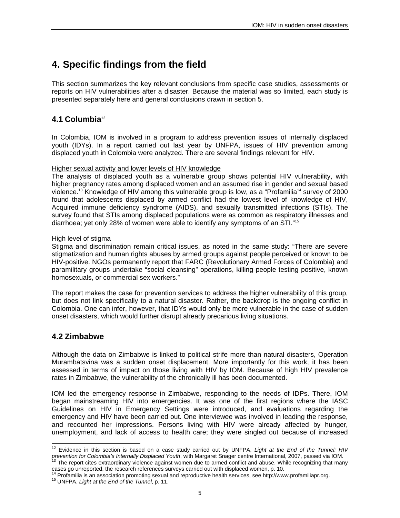# **4. Specific findings from the field**

This section summarizes the key relevant conclusions from specific case studies, assessments or reports on HIV vulnerabilities after a disaster. Because the material was so limited, each study is presented separately here and general conclusions drawn in section 5.

### **4.1 Columbia**<sup>12</sup>

In Colombia, IOM is involved in a program to address prevention issues of internally displaced youth (IDYs). In a report carried out last year by UNFPA, issues of HIV prevention among displaced youth in Colombia were analyzed. There are several findings relevant for HIV.

### Higher sexual activity and lower levels of HIV knowledge

The analysis of displaced youth as a vulnerable group shows potential HIV vulnerability, with higher pregnancy rates among displaced women and an assumed rise in gender and sexual based violence.<sup>13</sup> Knowledge of HIV among this vulnerable group is low, as a "Profamilia<sup>14</sup> survey of 2000 found that adolescents displaced by armed conflict had the lowest level of knowledge of HIV, Acquired immune deficiency syndrome (AIDS), and sexually transmitted infections (STIs). The survey found that STIs among displaced populations were as common as respiratory illnesses and diarrhoea; yet only 28% of women were able to identify any symptoms of an STI."15

### High level of stigma

Stigma and discrimination remain critical issues, as noted in the same study: "There are severe stigmatization and human rights abuses by armed groups against people perceived or known to be HIV-positive. NGOs permanently report that FARC (Revolutionary Armed Forces of Colombia) and paramilitary groups undertake "social cleansing" operations, killing people testing positive, known homosexuals, or commercial sex workers."

The report makes the case for prevention services to address the higher vulnerability of this group, but does not link specifically to a natural disaster. Rather, the backdrop is the ongoing conflict in Colombia. One can infer, however, that IDYs would only be more vulnerable in the case of sudden onset disasters, which would further disrupt already precarious living situations.

### **4.2 Zimbabwe**

Although the data on Zimbabwe is linked to political strife more than natural disasters, Operation Murambatsvina was a sudden onset displacement. More importantly for this work, it has been assessed in terms of impact on those living with HIV by IOM. Because of high HIV prevalence rates in Zimbabwe, the vulnerability of the chronically ill has been documented.

IOM led the emergency response in Zimbabwe, responding to the needs of IDPs. There, IOM began mainstreaming HIV into emergencies. It was one of the first regions where the IASC Guidelines on HIV in Emergency Settings were introduced, and evaluations regarding the emergency and HIV have been carried out. One interviewee was involved in leading the response, and recounted her impressions. Persons living with HIV were already affected by hunger, unemployment, and lack of access to health care; they were singled out because of increased

l 12 Evidence in this section is based on a case study carried out by UNFPA, *Light at the End of the Tunnel: HIV*  prevention for Colombia's Internally Displaced Youth, with Margaret Snager centre International, 2007, passed via IOM.<br><sup>13</sup> The report cites extraordinary violence against women due to armed conflict and abuse. While recog

cases go unreported, the research references surveys carried out with displaced women, p. 10.

<sup>&</sup>lt;sup>14</sup> Profamilia is an association promoting sexual and reproductive health services, see http://www.profamiliapr.org.<br><sup>15</sup> UNFPA, *Light at the End of the Tunnel*, p. 11.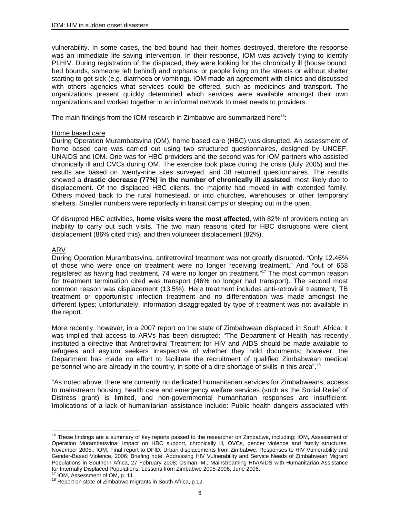vulnerability. In some cases, the bed bound had their homes destroyed, therefore the response was an immediate life saving intervention. In their response, IOM was actively trying to identify PLHIV. During registration of the displaced, they were looking for the chronically ill (house bound, bed bounds, someone left behind) and orphans, or people living on the streets or without shelter starting to get sick (e.g. diarrhoea or vomiting). IOM made an agreement with clinics and discussed with others agencies what services could be offered, such as medicines and transport. The organizations present quickly determined which services were available amongst their own organizations and worked together in an informal network to meet needs to providers.

The main findings from the IOM research in Zimbabwe are summarized here<sup>16</sup>:

### Home based care

During Operation Murambatsvina (OM), home based care (HBC) was disrupted. An assessment of home based care was carried out using two structured questionnaires, designed by UNCEF, UNAIDS and IOM. One was for HBC providers and the second was for IOM partners who assisted chronically ill and OVCs during OM. The exercise took place during the crisis (July 2005) and the results are based on twenty-nine sites surveyed, and 38 returned questionnaires. The results showed a **drastic decrease (77%) in the number of chronically ill assisted**, most likely due to displacement. Of the displaced HBC clients, the majority had moved in with extended family. Others moved back to the rural homestead, or into churches, warehouses or other temporary shelters. Smaller numbers were reportedly in transit camps or sleeping out in the open.

Of disrupted HBC activities, **home visits were the most affected**, with 82% of providers noting an inability to carry out such visits. The two main reasons cited for HBC disruptions were client displacement (86% cited this), and then volunteer displacement (82%).

### ARV

l

During Operation Murambatsvina, antiretroviral treatment was not greatly disrupted. "Only 12.46% of those who were once on treatment were no longer receiving treatment." And "out of 658 registered as having had treatment, 74 were no longer on treatment."<sup>17</sup> The most common reason for treatment termination cited was transport (46% no longer had transport). The second most common reason was displacement (13.5%). Here treatment includes anti-retroviral treatment, TB treatment or opportunistic infection treatment and no differentiation was made amongst the different types; unfortunately, information disaggregated by type of treatment was not available in the report.

More recently, however, in a 2007 report on the state of Zimbabwean displaced in South Africa, it was implied that access to ARVs has been disrupted: "The Department of Health has recently instituted a directive that Antiretroviral Treatment for HIV and AIDS should be made available to refugees and asylum seekers irrespective of whether they hold documents; however, the Department has made no effort to facilitate the recruitment of qualified Zimbabwean medical personnel who are already in the country, in spite of a dire shortage of skills in this area".<sup>18</sup>

"As noted above, there are currently no dedicated humanitarian services for Zimbabweans, access to mainstream housing, health care and emergency welfare services (such as the Social Relief of Distress grant) is limited, and non-governmental humanitarian responses are insufficient. Implications of a lack of humanitarian assistance include: Public health dangers associated with

<sup>&</sup>lt;sup>16</sup> These findings are a summary of key reports passed to the researcher on Zimbabwe, including: IOM, Assessment of Operation Murambatsvina: Impact on HBC support, chronically ill, OVCs, gender violence and family structures, November 2005.; IOM, Final report to DFID: Urban displacements from Zimbabwe: Responses to HIV Vulnerability and Gender-Based Violence, 2006; Briefing note: Addressing HIV Vulnerability and Service Needs of Zimbabwean Migrant Populations in Southern Africa, 27 February 2008; Osman, M., Mainstreaming HIV/AIDS with Humanitarian Assistance for Internally Displaced Populations: Lessons from Zimbabwe 2005-2006, June 2006.<br><sup>17</sup> IOM, Assessment of OM, p. 11.

 $18$  Report on state of Zimbabwe migrants in South Africa, p 12.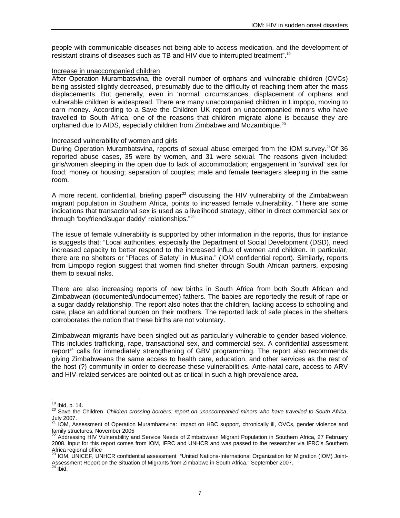people with communicable diseases not being able to access medication, and the development of resistant strains of diseases such as TB and HIV due to interrupted treatment".19

### Increase in unaccompanied children

After Operation Murambatsvina, the overall number of orphans and vulnerable children (OVCs) being assisted slightly decreased, presumably due to the difficulty of reaching them after the mass displacements. But generally, even in 'normal' circumstances, displacement of orphans and vulnerable children is widespread. There are many unaccompanied children in Limpopo, moving to earn money. According to a Save the Children UK report on unaccompanied minors who have travelled to South Africa, one of the reasons that children migrate alone is because they are orphaned due to AIDS, especially children from Zimbabwe and Mozambique.<sup>20</sup>

### Increased vulnerability of women and girls

During Operation Murambatsvina, reports of sexual abuse emerged from the IOM survey.<sup>21</sup>Of 36 reported abuse cases, 35 were by women, and 31 were sexual. The reasons given included: girls/women sleeping in the open due to lack of accommodation; engagement in 'survival' sex for food, money or housing; separation of couples; male and female teenagers sleeping in the same room.

A more recent, confidential, briefing paper<sup>22</sup> discussing the HIV vulnerability of the Zimbabwean migrant population in Southern Africa, points to increased female vulnerability. "There are some indications that transactional sex is used as a livelihood strategy, either in direct commercial sex or through 'boyfriend/sugar daddy' relationships."23

The issue of female vulnerability is supported by other information in the reports, thus for instance is suggests that: "Local authorities, especially the Department of Social Development (DSD), need increased capacity to better respond to the increased influx of women and children. In particular, there are no shelters or "Places of Safety" in Musina." (IOM confidential report). Similarly, reports from Limpopo region suggest that women find shelter through South African partners, exposing them to sexual risks.

There are also increasing reports of new births in South Africa from both South African and Zimbabwean (documented/undocumented) fathers. The babies are reportedly the result of rape or a sugar daddy relationship. The report also notes that the children, lacking access to schooling and care, place an additional burden on their mothers. The reported lack of safe places in the shelters corroborates the notion that these births are not voluntary.

Zimbabwean migrants have been singled out as particularly vulnerable to gender based violence. This includes trafficking, rape, transactional sex, and commercial sex. A confidential assessment report<sup>24</sup> calls for immediately strengthening of GBV programming. The report also recommends giving Zimbabweans the same access to health care, education, and other services as the rest of the host (?) community in order to decrease these vulnerabilities. Ante-natal care, access to ARV and HIV-related services are pointed out as critical in such a high prevalence area.

 $19$  lbid, p. 14.

<sup>&</sup>lt;sup>20</sup> Save the Children, *Children crossing borders: report on unaccompanied minors who have travelled to South Africa,* July 2007.

<sup>&</sup>lt;sup>21</sup> IOM, Assessment of Operation Murambatsvina: Impact on HBC support, chronically ill, OVCs, gender violence and

family structures, November 2005<br><sup>22</sup> Addressing HIV Vulnerability and Service Needs of Zimbabwean Migrant Population in Southern Africa, 27 February 2008. Input for this report comes from IOM, IFRC and UNHCR and was passed to the researcher via IFRC's Southern Africa regional office<br>
<sup>23</sup> IOM

<sup>23</sup> IOM, UNICEF, UNHCR confidential assessment "United Nations-International Organization for Migration (IOM) Joint-Assessment Report on the Situation of Migrants from Zimbabwe in South Africa," September 2007.<br><sup>24</sup> Ibid.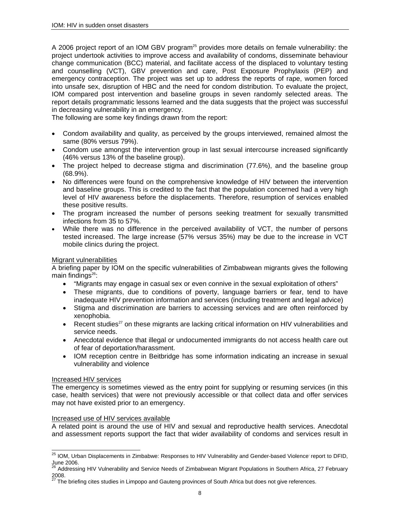A 2006 project report of an IOM GBV program<sup>25</sup> provides more details on female vulnerability: the project undertook activities to improve access and availability of condoms, disseminate behaviour change communication (BCC) material, and facilitate access of the displaced to voluntary testing and counselling (VCT), GBV prevention and care, Post Exposure Prophylaxis (PEP) and emergency contraception. The project was set up to address the reports of rape, women forced into unsafe sex, disruption of HBC and the need for condom distribution. To evaluate the project, IOM compared post intervention and baseline groups in seven randomly selected areas. The report details programmatic lessons learned and the data suggests that the project was successful in decreasing vulnerability in an emergency.

The following are some key findings drawn from the report:

- Condom availability and quality, as perceived by the groups interviewed, remained almost the same (80% versus 79%).
- Condom use amongst the intervention group in last sexual intercourse increased significantly (46% versus 13% of the baseline group).
- The project helped to decrease stigma and discrimination (77.6%), and the baseline group (68.9%).
- No differences were found on the comprehensive knowledge of HIV between the intervention and baseline groups. This is credited to the fact that the population concerned had a very high level of HIV awareness before the displacements. Therefore, resumption of services enabled these positive results.
- The program increased the number of persons seeking treatment for sexually transmitted infections from 35 to 57%.
- While there was no difference in the perceived availability of VCT, the number of persons tested increased. The large increase (57% versus 35%) may be due to the increase in VCT mobile clinics during the project.

### Migrant vulnerabilities

A briefing paper by IOM on the specific vulnerabilities of Zimbabwean migrants gives the following main findings $26$ :

- "Migrants may engage in casual sex or even connive in the sexual exploitation of others"
- These migrants, due to conditions of poverty, language barriers or fear, tend to have inadequate HIV prevention information and services (including treatment and legal advice)
- Stigma and discrimination are barriers to accessing services and are often reinforced by xenophobia.
- Recent studies<sup>27</sup> on these migrants are lacking critical information on HIV vulnerabilities and service needs.
- Anecdotal evidence that illegal or undocumented immigrants do not access health care out of fear of deportation/harassment.
- IOM reception centre in Beitbridge has some information indicating an increase in sexual vulnerability and violence

### Increased HIV services

 $\overline{a}$ 

The emergency is sometimes viewed as the entry point for supplying or resuming services (in this case, health services) that were not previously accessible or that collect data and offer services may not have existed prior to an emergency.

### Increased use of HIV services available

A related point is around the use of HIV and sexual and reproductive health services. Anecdotal and assessment reports support the fact that wider availability of condoms and services result in

<sup>&</sup>lt;sup>25</sup> IOM, Urban Displacements in Zimbabwe: Responses to HIV Vulnerability and Gender-based Violence<sup>,</sup> report to DFID, June 2006.

<sup>26</sup> Addressing HIV Vulnerability and Service Needs of Zimbabwean Migrant Populations in Southern Africa, 27 February 2008.

<sup>27</sup> The briefing cites studies in Limpopo and Gauteng provinces of South Africa but does not give references.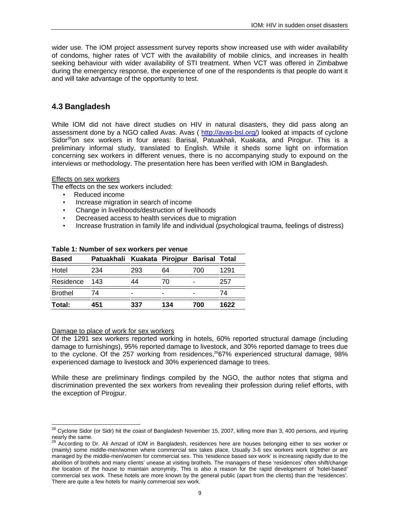wider use. The IOM project assessment survey reports show increased use with wider availability of condoms, higher rates of VCT with the availability of mobile clinics, and increases in health seeking behaviour with wider availability of STI treatment. When VCT was offered in Zimbabwe during the emergency response, the experience of one of the respondents is that people do want it and will take advantage of the opportunity to test.

### **4.3 Bangladesh**

While IOM did not have direct studies on HIV in natural disasters, they did pass along an assessment done by a NGO called Avas. Avas ( http://avas-bsl.org/) looked at impacts of cyclone Sidor<sup>28</sup>on sex workers in four areas: Barisal, Patuakhali, Kuakata, and Pirojpur. This is a preliminary informal study, translated to English. While it sheds some light on information concerning sex workers in different venues, there is no accompanying study to expound on the interviews or methodology. The presentation here has been verified with IOM in Bangladesh.

### Effects on sex workers

The effects on the sex workers included:

- Reduced income
- Increase migration in search of income
- Change in livelihoods/destruction of livelihoods
- Decreased access to health services due to migration
- Increase frustration in family life and individual (psychological trauma, feelings of distress)

| <b>Based</b>   | Patuakhali Kuakata Pirojpur Barisal Total<br>234 | 293 | 64  | 700 | 1291 |
|----------------|--------------------------------------------------|-----|-----|-----|------|
| Hotel          |                                                  |     |     |     |      |
| Residence      | 143                                              | 44  | 70  |     | 257  |
| <b>Brothel</b> | 74                                               |     | -   |     | 74   |
| Total:         | 451                                              | 337 | 134 | 700 | 1622 |

### **Table 1: Number of sex workers per venue**

### Damage to place of work for sex workers

Of the 1291 sex workers reported working in hotels, 60% reported structural damage (including damage to furnishings), 95% reported damage to livestock, and 30% reported damage to trees due to the cyclone. Of the 257 working from residences,<sup>29</sup>67% experienced structural damage, 98% experienced damage to livestock and 30% experienced damage to trees.

While these are preliminary findings compiled by the NGO, the author notes that stigma and discrimination prevented the sex workers from revealing their profession during relief efforts, with the exception of Pirojpur.

l  $^{28}$  Cyclone Sidor (or Sidr) hit the coast of Bangladesh November 15, 2007, killing more than 3, 400 persons, and injuring nearly the same.

<sup>&</sup>lt;sup>29</sup> According to Dr. Ali Amzad of IOM in Bangladesh, residences here are houses belonging either to sex worker or (mainly) some middle-men/women where commercial sex takes place. Usually 3-6 sex workers work together or are managed by the middle-men/women for commercial sex. This 'residence based sex work' is increasing rapidly due to the abolition of brothels and many clients' unease at visiting brothels. The managers of these 'residences' often shift/change the location of the house to maintain anonymity. This is also a reason for the rapid development of 'hotel-based' commercial sex work. These hotels are more known by the general public (apart from the clients) than the 'residences'. There are quite a few hotels for mainly commercial sex work.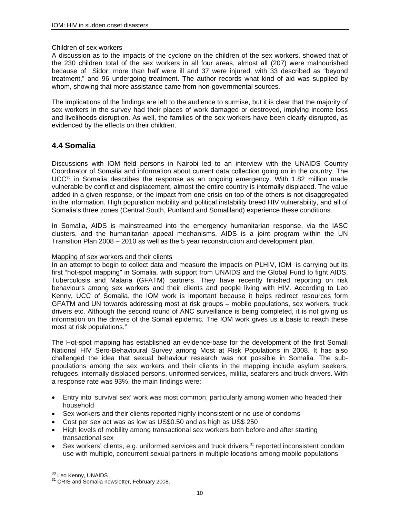### Children of sex workers

A discussion as to the impacts of the cyclone on the children of the sex workers, showed that of the 230 children total of the sex workers in all four areas, almost all (207) were malnourished because of Sidor, more than half were ill and 37 were injured, with 33 described as "beyond treatment," and 96 undergoing treatment. The author records what kind of aid was supplied by whom, showing that more assistance came from non-governmental sources.

The implications of the findings are left to the audience to surmise, but it is clear that the majority of sex workers in the survey had their places of work damaged or destroyed, implying income loss and livelihoods disruption. As well, the families of the sex workers have been clearly disrupted, as evidenced by the effects on their children.

### **4.4 Somalia**

Discussions with IOM field persons in Nairobi led to an interview with the UNAIDS Country Coordinator of Somalia and information about current data collection going on in the country. The  $UCC<sup>30</sup>$  in Somalia describes the response as an ongoing emergency. With 1.82 million made vulnerable by conflict and displacement, almost the entire country is internally displaced. The value added in a given response, or the impact from one crisis on top of the others is not disaggregated in the information. High population mobility and political instability breed HIV vulnerability, and all of Somalia's three zones (Central South, Puntland and Somaliland) experience these conditions.

In Somalia, AIDS is mainstreamed into the emergency humanitarian response, via the IASC clusters, and the humanitarian appeal mechanisms. AIDS is a joint program within the UN Transition Plan 2008 – 2010 as well as the 5 year reconstruction and development plan.

### Mapping of sex workers and their clients

In an attempt to begin to collect data and measure the impacts on PLHIV, IOM is carrying out its first "hot-spot mapping" in Somalia, with support from UNAIDS and the Global Fund to fight AIDS, Tuberculosis and Malaria (GFATM) partners. They have recently finished reporting on risk behaviours among sex workers and their clients and people living with HIV. According to Leo Kenny, UCC of Somalia, the IOM work is important because it helps redirect resources form GFATM and UN towards addressing most at risk groups – mobile populations, sex workers, truck drivers etc. Although the second round of ANC surveillance is being completed, it is not giving us information on the drivers of the Somali epidemic. The IOM work gives us a basis to reach these most at risk populations."

The Hot-spot mapping has established an evidence-base for the development of the first Somali National HIV Sero-Behavioural Survey among Most at Risk Populations in 2008. It has also challenged the idea that sexual behaviour research was not possible in Somalia. The subpopulations among the sex workers and their clients in the mapping include asylum seekers, refugees, internally displaced persons, uniformed services, militia, seafarers and truck drivers. With a response rate was 93%, the main findings were:

- Entry into 'survival sex' work was most common, particularly among women who headed their household
- Sex workers and their clients reported highly inconsistent or no use of condoms
- Cost per sex act was as low as US\$0.50 and as high as US\$ 250
- High levels of mobility among transactional sex workers both before and after starting transactional sex
- Sex workers' clients, e.g. uniformed services and truck drivers,<sup>31</sup> reported inconsistent condom use with multiple, concurrent sexual partners in multiple locations among mobile populations

<sup>&</sup>lt;sup>30</sup> Leo Kenny, UNAIDS

 $31$  CRIS and Somalia newsletter, February 2008.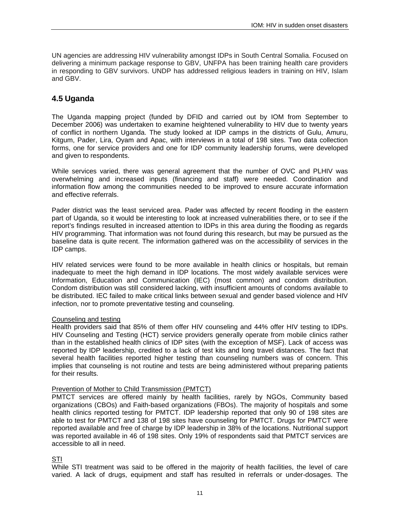UN agencies are addressing HIV vulnerability amongst IDPs in South Central Somalia. Focused on delivering a minimum package response to GBV, UNFPA has been training health care providers in responding to GBV survivors. UNDP has addressed religious leaders in training on HIV, Islam and GBV.

### **4.5 Uganda**

The Uganda mapping project (funded by DFID and carried out by IOM from September to December 2006) was undertaken to examine heightened vulnerability to HIV due to twenty years of conflict in northern Uganda. The study looked at IDP camps in the districts of Gulu, Amuru, Kitgum, Pader, Lira, Oyam and Apac, with interviews in a total of 198 sites. Two data collection forms, one for service providers and one for IDP community leadership forums, were developed and given to respondents.

While services varied, there was general agreement that the number of OVC and PLHIV was overwhelming and increased inputs (financing and staff) were needed. Coordination and information flow among the communities needed to be improved to ensure accurate information and effective referrals.

Pader district was the least serviced area. Pader was affected by recent flooding in the eastern part of Uganda, so it would be interesting to look at increased vulnerabilities there, or to see if the report's findings resulted in increased attention to IDPs in this area during the flooding as regards HIV programming. That information was not found during this research, but may be pursued as the baseline data is quite recent. The information gathered was on the accessibility of services in the IDP camps.

HIV related services were found to be more available in health clinics or hospitals, but remain inadequate to meet the high demand in IDP locations. The most widely available services were Information, Education and Communication (IEC) (most common) and condom distribution. Condom distribution was still considered lacking, with insufficient amounts of condoms available to be distributed. IEC failed to make critical links between sexual and gender based violence and HIV infection, nor to promote preventative testing and counseling.

### Counseling and testing

Health providers said that 85% of them offer HIV counseling and 44% offer HIV testing to IDPs. HIV Counseling and Testing (HCT) service providers generally operate from mobile clinics rather than in the established health clinics of IDP sites (with the exception of MSF). Lack of access was reported by IDP leadership, credited to a lack of test kits and long travel distances. The fact that several health facilities reported higher testing than counseling numbers was of concern. This implies that counseling is not routine and tests are being administered without preparing patients for their results.

### Prevention of Mother to Child Transmission (PMTCT)

PMTCT services are offered mainly by health facilities, rarely by NGOs, Community based organizations (CBOs) and Faith-based organizations (FBOs). The majority of hospitals and some health clinics reported testing for PMTCT. IDP leadership reported that only 90 of 198 sites are able to test for PMTCT and 138 of 198 sites have counseling for PMTCT. Drugs for PMTCT were reported available and free of charge by IDP leadership in 38% of the locations. Nutritional support was reported available in 46 of 198 sites. Only 19% of respondents said that PMTCT services are accessible to all in need.

STI

While STI treatment was said to be offered in the majority of health facilities, the level of care varied. A lack of drugs, equipment and staff has resulted in referrals or under-dosages. The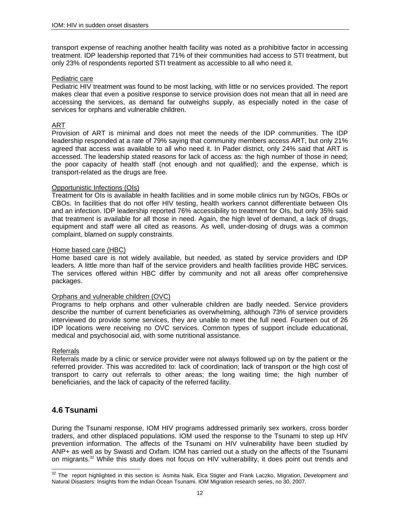transport expense of reaching another health facility was noted as a prohibitive factor in accessing treatment. IDP leadership reported that 71% of their communities had access to STI treatment, but only 23% of respondents reported STI treatment as accessible to all who need it.

### Pediatric care

Pediatric HIV treatment was found to be most lacking, with little or no services provided. The report makes clear that even a positive response to service provision does not mean that all in need are accessing the services, as demand far outweighs supply, as especially noted in the case of services for orphans and vulnerable children.

### ART

Provision of ART is minimal and does not meet the needs of the IDP communities. The IDP leadership responded at a rate of 79% saying that community members access ART, but only 21% agreed that access was available to all who need it. In Pader district, only 24% said that ART is accessed. The leadership stated reasons for lack of access as: the high number of those in need; the poor capacity of health staff (not enough and not qualified); and the expense, which is transport-related as the drugs are free.

### Opportunistic Infections (OIs)

Treatment for OIs is available in health facilities and in some mobile clinics run by NGOs, FBOs or CBOs. In facilities that do not offer HIV testing, health workers cannot differentiate between OIs and an infection. IDP leadership reported 76% accessibility to treatment for OIs, but only 35% said that treatment is available for all those in need. Again, the high level of demand, a lack of drugs, equipment and staff were all cited as reasons. As well, under-dosing of drugs was a common complaint, blamed on supply constraints.

### Home based care (HBC)

Home based care is not widely available, but needed, as stated by service providers and IDP leaders. A little more than half of the service providers and health facilities provide HBC services. The services offered within HBC differ by community and not all areas offer comprehensive packages.

### Orphans and vulnerable children (OVC)

Programs to help orphans and other vulnerable children are badly needed. Service providers describe the number of current beneficiaries as overwhelming, although 73% of service providers interviewed do provide some services, they are unable to meet the full need. Fourteen out of 26 IDP locations were receiving no OVC services. Common types of support include educational, medical and psychosocial aid, with some nutritional assistance.

### Referrals

Referrals made by a clinic or service provider were not always followed up on by the patient or the referred provider. This was accredited to: lack of coordination; lack of transport or the high cost of transport to carry out referrals to other areas; the long waiting time; the high number of beneficiaries, and the lack of capacity of the referred facility.

### **4.6 Tsunami**

During the Tsunami response, IOM HIV programs addressed primarily sex workers, cross border traders, and other displaced populations. IOM used the response to the Tsunami to step up HIV prevention information. The affects of the Tsunami on HIV vulnerability have been studied by ANP+ as well as by Swasti and Oxfam. IOM has carried out a study on the affects of the Tsunami on migrants.<sup>32</sup> While this study does not focus on HIV vulnerability, it does point out trends and

 $\overline{a}$  $32$  The report highlighted in this section is: Asmita Naik, Elca Stigter and Frank Laczko, Migration, Development and Natural Disasters: Insights from the Indian Ocean Tsunami. IOM Migration research series, no 30, 2007.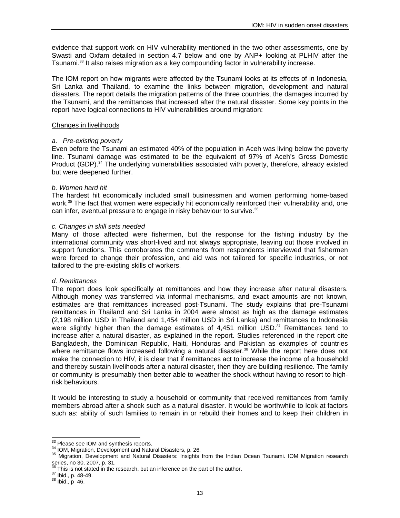evidence that support work on HIV vulnerability mentioned in the two other assessments, one by Swasti and Oxfam detailed in section 4.7 below and one by ANP+ looking at PLHIV after the Tsunami.<sup>33</sup> It also raises migration as a key compounding factor in vulnerability increase.

The IOM report on how migrants were affected by the Tsunami looks at its effects of in Indonesia, Sri Lanka and Thailand, to examine the links between migration, development and natural disasters. The report details the migration patterns of the three countries, the damages incurred by the Tsunami, and the remittances that increased after the natural disaster. Some key points in the report have logical connections to HIV vulnerabilities around migration:

#### Changes in livelihoods

#### *a. Pre-existing poverty*

Even before the Tsunami an estimated 40% of the population in Aceh was living below the poverty line. Tsunami damage was estimated to be the equivalent of 97% of Aceh's Gross Domestic Product (GDP).<sup>34</sup> The underlying vulnerabilities associated with poverty, therefore, already existed but were deepened further.

#### *b. Women hard hit*

The hardest hit economically included small businessmen and women performing home-based work.<sup>35</sup> The fact that women were especially hit economically reinforced their vulnerability and, one can infer, eventual pressure to engage in risky behaviour to survive.<sup>36</sup>

#### *c. Changes in skill sets needed*

Many of those affected were fishermen, but the response for the fishing industry by the international community was short-lived and not always appropriate, leaving out those involved in support functions. This corroborates the comments from respondents interviewed that fishermen were forced to change their profession, and aid was not tailored for specific industries, or not tailored to the pre-existing skills of workers.

### *d. Remittances*

The report does look specifically at remittances and how they increase after natural disasters. Although money was transferred via informal mechanisms, and exact amounts are not known, estimates are that remittances increased post-Tsunami. The study explains that pre-Tsunami remittances in Thailand and Sri Lanka in 2004 were almost as high as the damage estimates (2,198 million USD in Thailand and 1,454 million USD in Sri Lanka) and remittances to Indonesia were slightly higher than the damage estimates of  $4,451$  million USD.<sup>37</sup> Remittances tend to increase after a natural disaster, as explained in the report. Studies referenced in the report cite Bangladesh, the Dominican Republic, Haiti, Honduras and Pakistan as examples of countries where remittance flows increased following a natural disaster.<sup>38</sup> While the report here does not make the connection to HIV, it is clear that if remittances act to increase the income of a household and thereby sustain livelihoods after a natural disaster, then they are building resilience. The family or community is presumably then better able to weather the shock without having to resort to highrisk behaviours.

It would be interesting to study a household or community that received remittances from family members abroad after a shock such as a natural disaster. It would be worthwhile to look at factors such as: ability of such families to remain in or rebuild their homes and to keep their children in

<sup>&</sup>lt;sup>33</sup> Please see IOM and synthesis reports.

<sup>&</sup>lt;sup>34</sup> IOM, Migration, Development and Natural Disasters, p. 26.<br><sup>35</sup> Migration, Development and Natural Disasters: Insights from the Indian Ocean Tsunami. IOM Migration research series, no 30, 2007, p. 31.

 $\frac{36}{36}$  This is not stated in the research, but an inference on the part of the author.<br> $\frac{37}{38}$  Ibid., p. 48-49.<br> $\frac{38}{36}$  Ibid., p 46.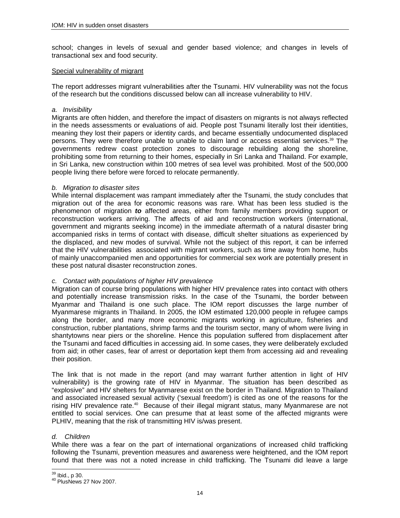school; changes in levels of sexual and gender based violence; and changes in levels of transactional sex and food security.

### Special vulnerability of migrant

The report addresses migrant vulnerabilities after the Tsunami. HIV vulnerability was not the focus of the research but the conditions discussed below can all increase vulnerability to HIV.

#### *a. Invisibility*

Migrants are often hidden, and therefore the impact of disasters on migrants is not always reflected in the needs assessments or evaluations of aid. People post Tsunami literally lost their identities, meaning they lost their papers or identity cards, and became essentially undocumented displaced persons. They were therefore unable to unable to claim land or access essential services.<sup>39</sup> The governments redrew coast protection zones to discourage rebuilding along the shoreline, prohibiting some from returning to their homes, especially in Sri Lanka and Thailand. For example, in Sri Lanka, new construction within 100 metres of sea level was prohibited. Most of the 500,000 people living there before were forced to relocate permanently.

#### *b. Migration to disaster sites*

While internal displacement was rampant immediately after the Tsunami, the study concludes that migration out of the area for economic reasons was rare. What has been less studied is the phenomenon of migration *to* affected areas, either from family members providing support or reconstruction workers arriving. The affects of aid and reconstruction workers (international, government and migrants seeking income) in the immediate aftermath of a natural disaster bring accompanied risks in terms of contact with disease, difficult shelter situations as experienced by the displaced, and new modes of survival. While not the subject of this report, it can be inferred that the HIV vulnerabilities associated with migrant workers, such as time away from home, hubs of mainly unaccompanied men and opportunities for commercial sex work are potentially present in these post natural disaster reconstruction zones.

### *c. Contact with populations of higher HIV prevalence*

Migration can of course bring populations with higher HIV prevalence rates into contact with others and potentially increase transmission risks. In the case of the Tsunami, the border between Myanmar and Thailand is one such place. The IOM report discusses the large number of Myanmarese migrants in Thailand. In 2005, the IOM estimated 120,000 people in refugee camps along the border, and many more economic migrants working in agriculture, fisheries and construction, rubber plantations, shrimp farms and the tourism sector, many of whom were living in shantytowns near piers or the shoreline. Hence this population suffered from displacement after the Tsunami and faced difficulties in accessing aid. In some cases, they were deliberately excluded from aid; in other cases, fear of arrest or deportation kept them from accessing aid and revealing their position.

The link that is not made in the report (and may warrant further attention in light of HIV vulnerability) is the growing rate of HIV in Myanmar. The situation has been described as "explosive" and HIV shelters for Myanmarese exist on the border in Thailand. Migration to Thailand and associated increased sexual activity ('sexual freedom') is cited as one of the reasons for the rising HIV prevalence rate.<sup>40</sup> Because of their illegal migrant status, many Myanmarese are not entitled to social services. One can presume that at least some of the affected migrants were PLHIV, meaning that the risk of transmitting HIV is/was present.

### *d. Children*

While there was a fear on the part of international organizations of increased child trafficking following the Tsunami, prevention measures and awareness were heightened, and the IOM report found that there was not a noted increase in child trafficking. The Tsunami did leave a large

<sup>&</sup>lt;sup>39</sup> Ibid., p 30.

 $40$  PlusNews 27 Nov 2007.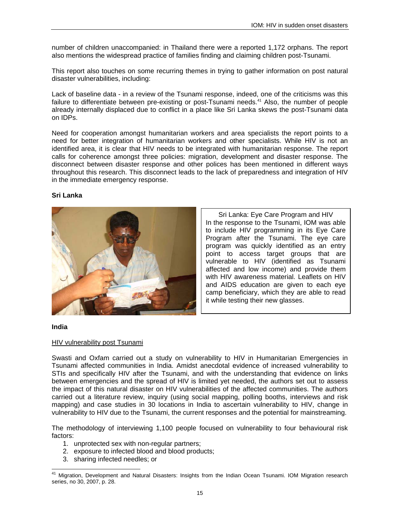number of children unaccompanied: in Thailand there were a reported 1,172 orphans. The report also mentions the widespread practice of families finding and claiming children post-Tsunami.

This report also touches on some recurring themes in trying to gather information on post natural disaster vulnerabilities, including:

Lack of baseline data - in a review of the Tsunami response, indeed, one of the criticisms was this failure to differentiate between pre-existing or post-Tsunami needs.<sup>41</sup> Also, the number of people already internally displaced due to conflict in a place like Sri Lanka skews the post-Tsunami data on IDPs.

Need for cooperation amongst humanitarian workers and area specialists the report points to a need for better integration of humanitarian workers and other specialists. While HIV is not an identified area, it is clear that HIV needs to be integrated with humanitarian response. The report calls for coherence amongst three policies: migration, development and disaster response. The disconnect between disaster response and other polices has been mentioned in different ways throughout this research. This disconnect leads to the lack of preparedness and integration of HIV in the immediate emergency response.

### **Sri Lanka**



Sri Lanka: Eye Care Program and HIV In the response to the Tsunami, IOM was able to include HIV programming in its Eye Care Program after the Tsunami. The eye care program was quickly identified as an entry point to access target groups that are vulnerable to HIV (identified as Tsunami affected and low income) and provide them with HIV awareness material. Leaflets on HIV and AIDS education are given to each eye camp beneficiary, which they are able to read it while testing their new glasses.

#### **India**

 $\overline{a}$ 

### HIV vulnerability post Tsunami

Swasti and Oxfam carried out a study on vulnerability to HIV in Humanitarian Emergencies in Tsunami affected communities in India. Amidst anecdotal evidence of increased vulnerability to STIs and specifically HIV after the Tsunami, and with the understanding that evidence on links between emergencies and the spread of HIV is limited yet needed, the authors set out to assess the impact of this natural disaster on HIV vulnerabilities of the affected communities. The authors carried out a literature review, inquiry (using social mapping, polling booths, interviews and risk mapping) and case studies in 30 locations in India to ascertain vulnerability to HIV, change in vulnerability to HIV due to the Tsunami, the current responses and the potential for mainstreaming.

The methodology of interviewing 1,100 people focused on vulnerability to four behavioural risk factors:

- 1. unprotected sex with non-regular partners;
- 2. exposure to infected blood and blood products;
- 3. sharing infected needles; or

<sup>41</sup> Migration, Development and Natural Disasters: Insights from the Indian Ocean Tsunami. IOM Migration research series, no 30, 2007, p. 28.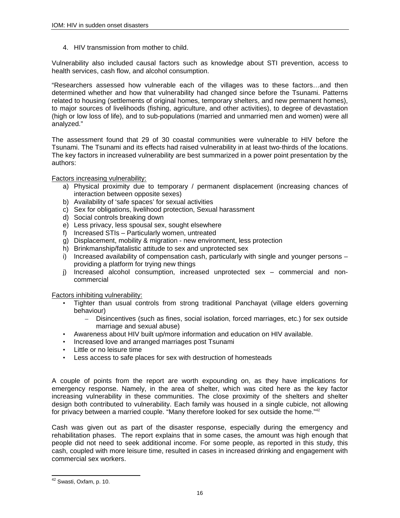4. HIV transmission from mother to child.

Vulnerability also included causal factors such as knowledge about STI prevention, access to health services, cash flow, and alcohol consumption.

"Researchers assessed how vulnerable each of the villages was to these factors…and then determined whether and how that vulnerability had changed since before the Tsunami. Patterns related to housing (settlements of original homes, temporary shelters, and new permanent homes), to major sources of livelihoods (fishing, agriculture, and other activities), to degree of devastation (high or low loss of life), and to sub-populations (married and unmarried men and women) were all analyzed."

The assessment found that 29 of 30 coastal communities were vulnerable to HIV before the Tsunami. The Tsunami and its effects had raised vulnerability in at least two-thirds of the locations. The key factors in increased vulnerability are best summarized in a power point presentation by the authors:

Factors increasing vulnerability:

- a) Physical proximity due to temporary / permanent displacement (increasing chances of interaction between opposite sexes)
- b) Availability of 'safe spaces' for sexual activities
- c) Sex for obligations, livelihood protection, Sexual harassment
- d) Social controls breaking down
- e) Less privacy, less spousal sex, sought elsewhere
- f) Increased STIs Particularly women, untreated
- g) Displacement, mobility & migration new environment, less protection
- h) Brinkmanship/fatalistic attitude to sex and unprotected sex
- i) Increased availability of compensation cash, particularly with single and younger persons providing a platform for trying new things
- j) Increased alcohol consumption, increased unprotected sex commercial and noncommercial

Factors inhibiting vulnerability:

- Tighter than usual controls from strong traditional Panchayat (village elders governing behaviour)
	- Disincentives (such as fines, social isolation, forced marriages, etc.) for sex outside marriage and sexual abuse)
- Awareness about HIV built up/more information and education on HIV available.
- Increased love and arranged marriages post Tsunami
- Little or no leisure time
- Less access to safe places for sex with destruction of homesteads

A couple of points from the report are worth expounding on, as they have implications for emergency response. Namely, in the area of shelter, which was cited here as the key factor increasing vulnerability in these communities. The close proximity of the shelters and shelter design both contributed to vulnerability. Each family was housed in a single cubicle, not allowing for privacy between a married couple. "Many therefore looked for sex outside the home."<sup>42</sup>

Cash was given out as part of the disaster response, especially during the emergency and rehabilitation phases. The report explains that in some cases, the amount was high enough that people did not need to seek additional income. For some people, as reported in this study, this cash, coupled with more leisure time, resulted in cases in increased drinking and engagement with commercial sex workers.

 $\overline{a}$ <sup>42</sup> Swasti, Oxfam, p. 10.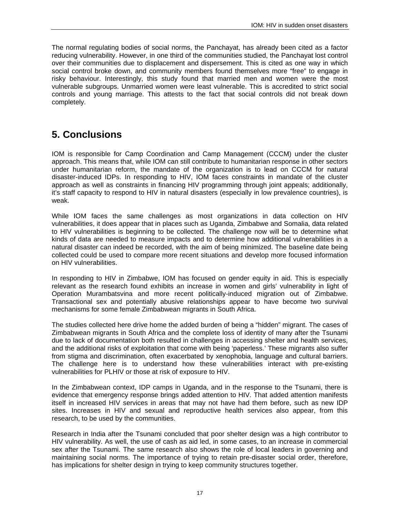The normal regulating bodies of social norms, the Panchayat, has already been cited as a factor reducing vulnerability. However, in one third of the communities studied, the Panchayat lost control over their communities due to displacement and dispersement. This is cited as one way in which social control broke down, and community members found themselves more "free" to engage in risky behaviour. Interestingly, this study found that married men and women were the most vulnerable subgroups. Unmarried women were least vulnerable. This is accredited to strict social controls and young marriage. This attests to the fact that social controls did not break down completely.

# **5. Conclusions**

IOM is responsible for Camp Coordination and Camp Management (CCCM) under the cluster approach. This means that, while IOM can still contribute to humanitarian response in other sectors under humanitarian reform, the mandate of the organization is to lead on CCCM for natural disaster-induced IDPs. In responding to HIV, IOM faces constraints in mandate of the cluster approach as well as constraints in financing HIV programming through joint appeals; additionally, it's staff capacity to respond to HIV in natural disasters (especially in low prevalence countries), is weak.

While IOM faces the same challenges as most organizations in data collection on HIV vulnerabilities, it does appear that in places such as Uganda, Zimbabwe and Somalia, data related to HIV vulnerabilities is beginning to be collected. The challenge now will be to determine what kinds of data are needed to measure impacts and to determine how additional vulnerabilities in a natural disaster can indeed be recorded, with the aim of being minimized. The baseline date being collected could be used to compare more recent situations and develop more focused information on HIV vulnerabilities.

In responding to HIV in Zimbabwe, IOM has focused on gender equity in aid. This is especially relevant as the research found exhibits an increase in women and girls' vulnerability in light of Operation Murambatsvina and more recent politically-induced migration out of Zimbabwe. Transactional sex and potentially abusive relationships appear to have become two survival mechanisms for some female Zimbabwean migrants in South Africa.

The studies collected here drive home the added burden of being a "hidden" migrant. The cases of Zimbabwean migrants in South Africa and the complete loss of identity of many after the Tsunami due to lack of documentation both resulted in challenges in accessing shelter and health services, and the additional risks of exploitation that come with being 'paperless.' These migrants also suffer from stigma and discrimination, often exacerbated by xenophobia, language and cultural barriers. The challenge here is to understand how these vulnerabilities interact with pre-existing vulnerabilities for PLHIV or those at risk of exposure to HIV.

In the Zimbabwean context, IDP camps in Uganda, and in the response to the Tsunami, there is evidence that emergency response brings added attention to HIV. That added attention manifests itself in increased HIV services in areas that may not have had them before, such as new IDP sites. Increases in HIV and sexual and reproductive health services also appear, from this research, to be used by the communities.

Research in India after the Tsunami concluded that poor shelter design was a high contributor to HIV vulnerability. As well, the use of cash as aid led, in some cases, to an increase in commercial sex after the Tsunami. The same research also shows the role of local leaders in governing and maintaining social norms. The importance of trying to retain pre-disaster social order, therefore, has implications for shelter design in trying to keep community structures together.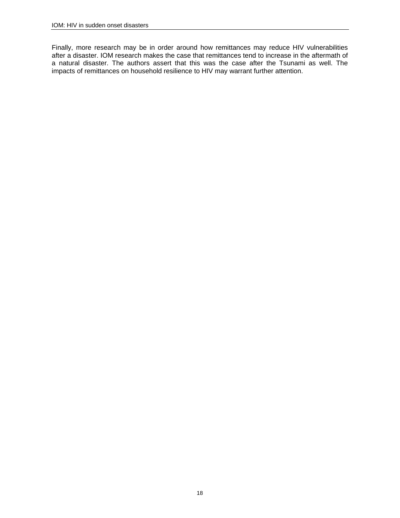Finally, more research may be in order around how remittances may reduce HIV vulnerabilities after a disaster. IOM research makes the case that remittances tend to increase in the aftermath of a natural disaster. The authors assert that this was the case after the Tsunami as well. The impacts of remittances on household resilience to HIV may warrant further attention.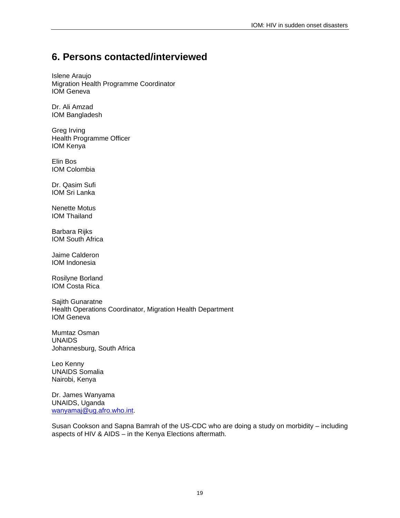## **6. Persons contacted/interviewed**

Islene Araujo Migration Health Programme Coordinator IOM Geneva

Dr. Ali Amzad IOM Bangladesh

Greg Irving Health Programme Officer IOM Kenya

Elin Bos IOM Colombia

Dr. Qasim Sufi IOM Sri Lanka

Nenette Motus IOM Thailand

Barbara Rijks IOM South Africa

Jaime Calderon IOM Indonesia

Rosilyne Borland IOM Costa Rica

Sajith Gunaratne Health Operations Coordinator, Migration Health Department IOM Geneva

Mumtaz Osman UNAIDS Johannesburg, South Africa

Leo Kenny UNAIDS Somalia Nairobi, Kenya

Dr. James Wanyama UNAIDS, Uganda wanyamaj@ug.afro.who.int.

Susan Cookson and Sapna Bamrah of the US-CDC who are doing a study on morbidity – including aspects of HIV & AIDS – in the Kenya Elections aftermath.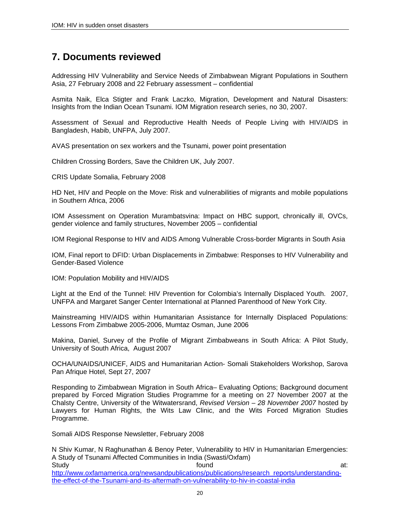## **7. Documents reviewed**

Addressing HIV Vulnerability and Service Needs of Zimbabwean Migrant Populations in Southern Asia, 27 February 2008 and 22 February assessment – confidential

Asmita Naik, Elca Stigter and Frank Laczko, Migration, Development and Natural Disasters: Insights from the Indian Ocean Tsunami. IOM Migration research series, no 30, 2007.

Assessment of Sexual and Reproductive Health Needs of People Living with HIV/AIDS in Bangladesh, Habib, UNFPA, July 2007.

AVAS presentation on sex workers and the Tsunami, power point presentation

Children Crossing Borders, Save the Children UK, July 2007.

CRIS Update Somalia, February 2008

HD Net, HIV and People on the Move: Risk and vulnerabilities of migrants and mobile populations in Southern Africa, 2006

IOM Assessment on Operation Murambatsvina: Impact on HBC support, chronically ill, OVCs, gender violence and family structures, November 2005 – confidential

IOM Regional Response to HIV and AIDS Among Vulnerable Cross-border Migrants in South Asia

IOM, Final report to DFID: Urban Displacements in Zimbabwe: Responses to HIV Vulnerability and Gender-Based Violence

IOM: Population Mobility and HIV/AIDS

Light at the End of the Tunnel: HIV Prevention for Colombia's Internally Displaced Youth. 2007, UNFPA and Margaret Sanger Center International at Planned Parenthood of New York City.

Mainstreaming HIV/AIDS within Humanitarian Assistance for Internally Displaced Populations: Lessons From Zimbabwe 2005-2006, Mumtaz Osman, June 2006

Makina, Daniel, Survey of the Profile of Migrant Zimbabweans in South Africa: A Pilot Study, University of South Africa, August 2007

OCHA/UNAIDS/UNICEF, AIDS and Humanitarian Action- Somali Stakeholders Workshop, Sarova Pan Afrique Hotel, Sept 27, 2007

Responding to Zimbabwean Migration in South Africa– Evaluating Options; Background document prepared by Forced Migration Studies Programme for a meeting on 27 November 2007 at the Chalsty Centre, University of the Witwatersrand, *Revised Version – 28 November 2007* hosted by Lawyers for Human Rights, the Wits Law Clinic, and the Wits Forced Migration Studies Programme.

Somali AIDS Response Newsletter, February 2008

N Shiv Kumar, N Raghunathan & Benoy Peter, Vulnerability to HIV in Humanitarian Emergencies: A Study of Tsunami Affected Communities in India (Swasti/Oxfam) Study and the study of the study of the study of the study of the study at: http://www.oxfamamerica.org/newsandpublications/publications/research\_reports/understandingthe-effect-of-the-Tsunami-and-its-aftermath-on-vulnerability-to-hiv-in-coastal-india